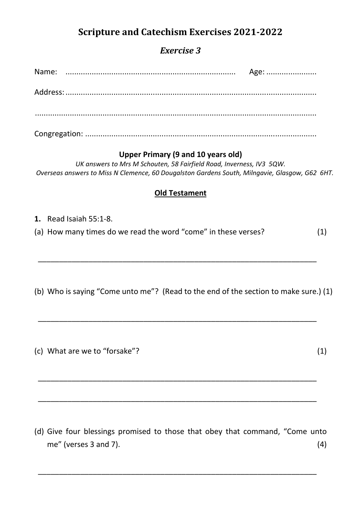# **Scripture and Catechism Exercises 2021-2022**

## *Exercise 3*

#### **Upper Primary (9 and 10 years old)**

*UK answers to Mrs M Schouten, 58 Fairfield Road, Inverness, IV3 5QW. Overseas answers to Miss N Clemence, 60 Dougalston Gardens South, Milngavie, Glasgow, G62 6HT.*

### **Old Testament**

**1.** Read Isaiah 55:1-8.

(a) How many times do we read the word "come" in these verses? (1)

\_\_\_\_\_\_\_\_\_\_\_\_\_\_\_\_\_\_\_\_\_\_\_\_\_\_\_\_\_\_\_\_\_\_\_\_\_\_\_\_\_\_\_\_\_\_\_\_\_\_\_\_\_\_\_\_\_\_\_\_\_\_\_\_\_\_

\_\_\_\_\_\_\_\_\_\_\_\_\_\_\_\_\_\_\_\_\_\_\_\_\_\_\_\_\_\_\_\_\_\_\_\_\_\_\_\_\_\_\_\_\_\_\_\_\_\_\_\_\_\_\_\_\_\_\_\_\_\_\_\_\_\_

\_\_\_\_\_\_\_\_\_\_\_\_\_\_\_\_\_\_\_\_\_\_\_\_\_\_\_\_\_\_\_\_\_\_\_\_\_\_\_\_\_\_\_\_\_\_\_\_\_\_\_\_\_\_\_\_\_\_\_\_\_\_\_\_\_\_

\_\_\_\_\_\_\_\_\_\_\_\_\_\_\_\_\_\_\_\_\_\_\_\_\_\_\_\_\_\_\_\_\_\_\_\_\_\_\_\_\_\_\_\_\_\_\_\_\_\_\_\_\_\_\_\_\_\_\_\_\_\_\_\_\_\_

(b) Who is saying "Come unto me"? (Read to the end of the section to make sure.) (1)

(c) What are we to "forsake"? (1)

(d) Give four blessings promised to those that obey that command, "Come unto  $me''$  (verses 3 and 7).  $(4)$ 

\_\_\_\_\_\_\_\_\_\_\_\_\_\_\_\_\_\_\_\_\_\_\_\_\_\_\_\_\_\_\_\_\_\_\_\_\_\_\_\_\_\_\_\_\_\_\_\_\_\_\_\_\_\_\_\_\_\_\_\_\_\_\_\_\_\_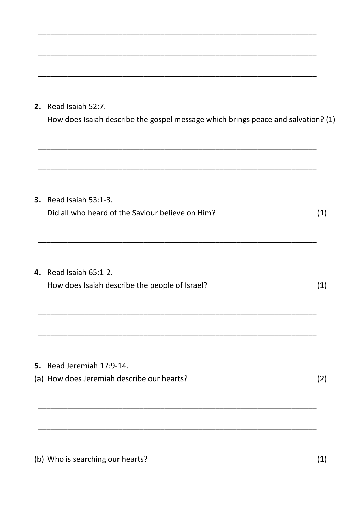2. Read Isaiah 52:7.

How does Isaiah describe the gospel message which brings peace and salvation? (1)

| 3. | Read Isaiah 53:1-3.<br>Did all who heard of the Saviour believe on Him? | (1) |
|----|-------------------------------------------------------------------------|-----|
| 4. | Read Isaiah 65:1-2.<br>How does Isaiah describe the people of Israel?   | (1) |
|    |                                                                         |     |
| 5. | Read Jeremiah 17:9-14.                                                  |     |
|    | (a) How does Jeremiah describe our hearts?                              | (2) |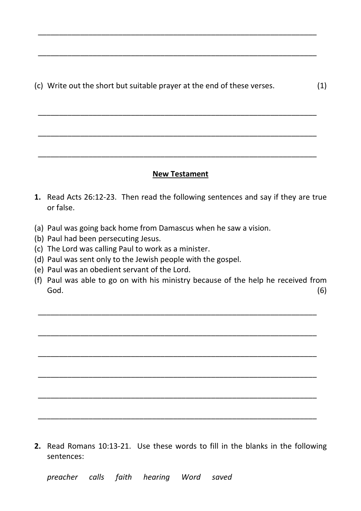(c) Write out the short but suitable prayer at the end of these verses. (1)

\_\_\_\_\_\_\_\_\_\_\_\_\_\_\_\_\_\_\_\_\_\_\_\_\_\_\_\_\_\_\_\_\_\_\_\_\_\_\_\_\_\_\_\_\_\_\_\_\_\_\_\_\_\_\_\_\_\_\_\_\_\_\_\_\_\_

\_\_\_\_\_\_\_\_\_\_\_\_\_\_\_\_\_\_\_\_\_\_\_\_\_\_\_\_\_\_\_\_\_\_\_\_\_\_\_\_\_\_\_\_\_\_\_\_\_\_\_\_\_\_\_\_\_\_\_\_\_\_\_\_\_\_

\_\_\_\_\_\_\_\_\_\_\_\_\_\_\_\_\_\_\_\_\_\_\_\_\_\_\_\_\_\_\_\_\_\_\_\_\_\_\_\_\_\_\_\_\_\_\_\_\_\_\_\_\_\_\_\_\_\_\_\_\_\_\_\_\_\_

 $\overline{\phantom{a}}$  , and the contribution of the contribution of the contribution of the contribution of the contribution of the contribution of the contribution of the contribution of the contribution of the contribution of the

 $\overline{\phantom{a}}$  , and the contribution of the contribution of the contribution of the contribution of the contribution of the contribution of the contribution of the contribution of the contribution of the contribution of the

#### **New Testament**

- **1.** Read Acts 26:12-23. Then read the following sentences and say if they are true or false.
- (a) Paul was going back home from Damascus when he saw a vision.
- (b) Paul had been persecuting Jesus.
- (c) The Lord was calling Paul to work as a minister.
- (d) Paul was sent only to the Jewish people with the gospel.
- (e) Paul was an obedient servant of the Lord.
- (f) Paul was able to go on with his ministry because of the help he received from  $\mathsf{God.}\tag{6}$

\_\_\_\_\_\_\_\_\_\_\_\_\_\_\_\_\_\_\_\_\_\_\_\_\_\_\_\_\_\_\_\_\_\_\_\_\_\_\_\_\_\_\_\_\_\_\_\_\_\_\_\_\_\_\_\_\_\_\_\_\_\_\_\_\_\_

 $\overline{\phantom{a}}$  , and the contribution of the contribution of the contribution of the contribution of the contribution of the contribution of the contribution of the contribution of the contribution of the contribution of the

 $\overline{\phantom{a}}$  , and the contribution of the contribution of the contribution of the contribution of the contribution of the contribution of the contribution of the contribution of the contribution of the contribution of the

\_\_\_\_\_\_\_\_\_\_\_\_\_\_\_\_\_\_\_\_\_\_\_\_\_\_\_\_\_\_\_\_\_\_\_\_\_\_\_\_\_\_\_\_\_\_\_\_\_\_\_\_\_\_\_\_\_\_\_\_\_\_\_\_\_\_

\_\_\_\_\_\_\_\_\_\_\_\_\_\_\_\_\_\_\_\_\_\_\_\_\_\_\_\_\_\_\_\_\_\_\_\_\_\_\_\_\_\_\_\_\_\_\_\_\_\_\_\_\_\_\_\_\_\_\_\_\_\_\_\_\_\_

\_\_\_\_\_\_\_\_\_\_\_\_\_\_\_\_\_\_\_\_\_\_\_\_\_\_\_\_\_\_\_\_\_\_\_\_\_\_\_\_\_\_\_\_\_\_\_\_\_\_\_\_\_\_\_\_\_\_\_\_\_\_\_\_\_\_

**2.** Read Romans 10:13-21. Use these words to fill in the blanks in the following sentences:

 *preacher calls faith hearing Word saved*